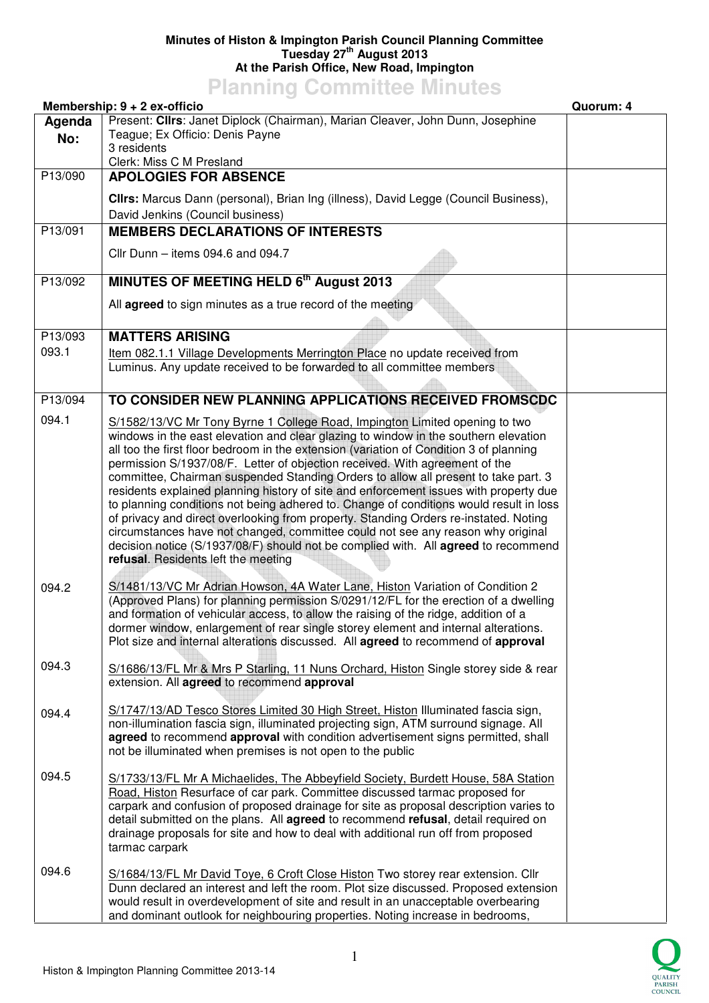## **Minutes of Histon & Impington Parish Council Planning Committee Tuesday 27th August 2013 At the Parish Office, New Road, Impington**

**Planning Committee Minutes** 

|               | Membership: 9 + 2 ex-officio                                                                                                                                                                                                                                                                                                                                                                                                                                                                                                                                                                                                                                                                                                                                                                                                                                                                                                 | Quorum: 4 |
|---------------|------------------------------------------------------------------------------------------------------------------------------------------------------------------------------------------------------------------------------------------------------------------------------------------------------------------------------------------------------------------------------------------------------------------------------------------------------------------------------------------------------------------------------------------------------------------------------------------------------------------------------------------------------------------------------------------------------------------------------------------------------------------------------------------------------------------------------------------------------------------------------------------------------------------------------|-----------|
| Agenda<br>No: | Present: Cllrs: Janet Diplock (Chairman), Marian Cleaver, John Dunn, Josephine<br>Teague; Ex Officio: Denis Payne<br>3 residents                                                                                                                                                                                                                                                                                                                                                                                                                                                                                                                                                                                                                                                                                                                                                                                             |           |
|               | Clerk: Miss C M Presland<br><b>APOLOGIES FOR ABSENCE</b>                                                                                                                                                                                                                                                                                                                                                                                                                                                                                                                                                                                                                                                                                                                                                                                                                                                                     |           |
| P13/090       |                                                                                                                                                                                                                                                                                                                                                                                                                                                                                                                                                                                                                                                                                                                                                                                                                                                                                                                              |           |
|               | CIIrs: Marcus Dann (personal), Brian Ing (illness), David Legge (Council Business),<br>David Jenkins (Council business)                                                                                                                                                                                                                                                                                                                                                                                                                                                                                                                                                                                                                                                                                                                                                                                                      |           |
| P13/091       | <b>MEMBERS DECLARATIONS OF INTERESTS</b>                                                                                                                                                                                                                                                                                                                                                                                                                                                                                                                                                                                                                                                                                                                                                                                                                                                                                     |           |
|               | Cllr Dunn $-$ items 094.6 and 094.7                                                                                                                                                                                                                                                                                                                                                                                                                                                                                                                                                                                                                                                                                                                                                                                                                                                                                          |           |
| P13/092       | MINUTES OF MEETING HELD 6th August 2013                                                                                                                                                                                                                                                                                                                                                                                                                                                                                                                                                                                                                                                                                                                                                                                                                                                                                      |           |
|               | All agreed to sign minutes as a true record of the meeting                                                                                                                                                                                                                                                                                                                                                                                                                                                                                                                                                                                                                                                                                                                                                                                                                                                                   |           |
| P13/093       | <b>MATTERS ARISING</b>                                                                                                                                                                                                                                                                                                                                                                                                                                                                                                                                                                                                                                                                                                                                                                                                                                                                                                       |           |
| 093.1         | Item 082.1.1 Village Developments Merrington Place no update received from<br>Luminus. Any update received to be forwarded to all committee members                                                                                                                                                                                                                                                                                                                                                                                                                                                                                                                                                                                                                                                                                                                                                                          |           |
| P13/094       | TO CONSIDER NEW PLANNING APPLICATIONS RECEIVED FROMSCDC                                                                                                                                                                                                                                                                                                                                                                                                                                                                                                                                                                                                                                                                                                                                                                                                                                                                      |           |
| 094.1         | S/1582/13/VC Mr Tony Byrne 1 College Road, Impington Limited opening to two<br>windows in the east elevation and clear glazing to window in the southern elevation<br>all too the first floor bedroom in the extension (variation of Condition 3 of planning<br>permission S/1937/08/F. Letter of objection received. With agreement of the<br>committee, Chairman suspended Standing Orders to allow all present to take part. 3<br>residents explained planning history of site and enforcement issues with property due<br>to planning conditions not being adhered to. Change of conditions would result in loss<br>of privacy and direct overlooking from property. Standing Orders re-instated. Noting<br>circumstances have not changed, committee could not see any reason why original<br>decision notice (S/1937/08/F) should not be complied with. All agreed to recommend<br>refusal. Residents left the meeting |           |
| 094.2         | S/1481/13/VC Mr Adrian Howson, 4A Water Lane, Histon Variation of Condition 2<br>(Approved Plans) for planning permission S/0291/12/FL for the erection of a dwelling<br>and formation of vehicular access, to allow the raising of the ridge, addition of a<br>dormer window, enlargement of rear single storey element and internal alterations.<br>Plot size and internal alterations discussed. All agreed to recommend of approval                                                                                                                                                                                                                                                                                                                                                                                                                                                                                      |           |
| 094.3         | S/1686/13/FL Mr & Mrs P Starling, 11 Nuns Orchard, Histon Single storey side & rear<br>extension. All agreed to recommend approval                                                                                                                                                                                                                                                                                                                                                                                                                                                                                                                                                                                                                                                                                                                                                                                           |           |
| 094.4         | S/1747/13/AD Tesco Stores Limited 30 High Street, Histon Illuminated fascia sign,<br>non-illumination fascia sign, illuminated projecting sign, ATM surround signage. All<br>agreed to recommend approval with condition advertisement signs permitted, shall<br>not be illuminated when premises is not open to the public                                                                                                                                                                                                                                                                                                                                                                                                                                                                                                                                                                                                  |           |
| 094.5         | S/1733/13/FL Mr A Michaelides, The Abbeyfield Society, Burdett House, 58A Station<br>Road, Histon Resurface of car park. Committee discussed tarmac proposed for<br>carpark and confusion of proposed drainage for site as proposal description varies to<br>detail submitted on the plans. All agreed to recommend refusal, detail required on<br>drainage proposals for site and how to deal with additional run off from proposed<br>tarmac carpark                                                                                                                                                                                                                                                                                                                                                                                                                                                                       |           |
| 094.6         | S/1684/13/FL Mr David Toye, 6 Croft Close Histon Two storey rear extension. Cllr<br>Dunn declared an interest and left the room. Plot size discussed. Proposed extension<br>would result in overdevelopment of site and result in an unacceptable overbearing<br>and dominant outlook for neighbouring properties. Noting increase in bedrooms,                                                                                                                                                                                                                                                                                                                                                                                                                                                                                                                                                                              |           |